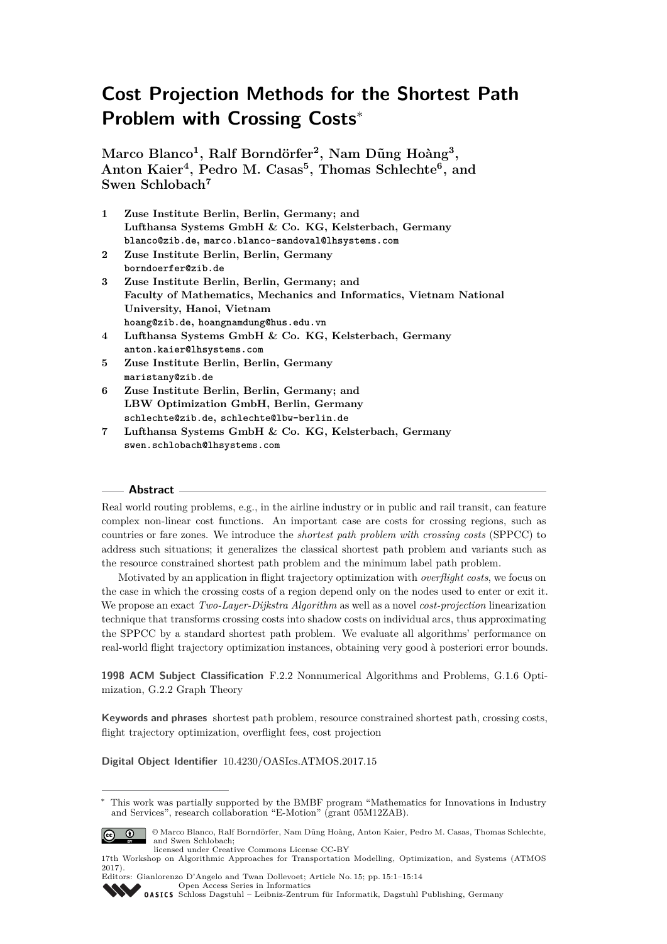# **Cost Projection Methods for the Shortest Path Problem with Crossing Costs**<sup>∗</sup>

 $M$ arco Blanco<sup>1</sup>, Ralf Borndörfer<sup>2</sup>, Nam Dũng Hoàng<sup>3</sup>, **Anton Kaier<sup>4</sup> , Pedro M. Casas<sup>5</sup> , Thomas Schlechte<sup>6</sup> , and Swen Schlobach<sup>7</sup>**

- **1 Zuse Institute Berlin, Berlin, Germany; and Lufthansa Systems GmbH & Co. KG, Kelsterbach, Germany blanco@zib.de, marco.blanco-sandoval@lhsystems.com**
- **2 Zuse Institute Berlin, Berlin, Germany borndoerfer@zib.de**
- **3 Zuse Institute Berlin, Berlin, Germany; and Faculty of Mathematics, Mechanics and Informatics, Vietnam National University, Hanoi, Vietnam hoang@zib.de, hoangnamdung@hus.edu.vn**
- **4 Lufthansa Systems GmbH & Co. KG, Kelsterbach, Germany anton.kaier@lhsystems.com**
- **5 Zuse Institute Berlin, Berlin, Germany maristany@zib.de**
- **6 Zuse Institute Berlin, Berlin, Germany; and LBW Optimization GmbH, Berlin, Germany schlechte@zib.de, schlechte@lbw-berlin.de**
- **7 Lufthansa Systems GmbH & Co. KG, Kelsterbach, Germany swen.schlobach@lhsystems.com**

# **Abstract**

Real world routing problems, e.g., in the airline industry or in public and rail transit, can feature complex non-linear cost functions. An important case are costs for crossing regions, such as countries or fare zones. We introduce the *shortest path problem with crossing costs* (SPPCC) to address such situations; it generalizes the classical shortest path problem and variants such as the resource constrained shortest path problem and the minimum label path problem.

Motivated by an application in flight trajectory optimization with *overflight costs*, we focus on the case in which the crossing costs of a region depend only on the nodes used to enter or exit it. We propose an exact *Two-Layer-Dijkstra Algorithm* as well as a novel *cost-projection* linearization technique that transforms crossing costs into shadow costs on individual arcs, thus approximating the SPPCC by a standard shortest path problem. We evaluate all algorithms' performance on real-world flight trajectory optimization instances, obtaining very good à posteriori error bounds.

**1998 ACM Subject Classification** F.2.2 Nonnumerical Algorithms and Problems, G.1.6 Optimization, G.2.2 Graph Theory

**Keywords and phrases** shortest path problem, resource constrained shortest path, crossing costs, flight trajectory optimization, overflight fees, cost projection

**Digital Object Identifier** [10.4230/OASIcs.ATMOS.2017.15](http://dx.doi.org/10.4230/OASIcs.ATMOS.2017.15)

<sup>∗</sup> This work was partially supported by the BMBF program "Mathematics for Innovations in Industry and Services", research collaboration "E-Motion" (grant 05M12ZAB).



<sup>©</sup> Marco Blanco, Ralf Borndörfer, Nam D˜ung Hoàng, Anton Kaier, Pedro M. Casas, Thomas Schlechte, and Swen Schlobach; licensed under Creative Commons License CC-BY

Editors: Gianlorenzo D'Angelo and Twan Dollevoet; Article No. 15; pp. 15:1–15[:14](#page-13-0) [Open Access Series in Informatics](http://www.dagstuhl.de/oasics/) [Schloss Dagstuhl – Leibniz-Zentrum für Informatik, Dagstuhl Publishing, Germany](http://www.dagstuhl.de)

<sup>17</sup>th Workshop on Algorithmic Approaches for Transportation Modelling, Optimization, and Systems (ATMOS 2017).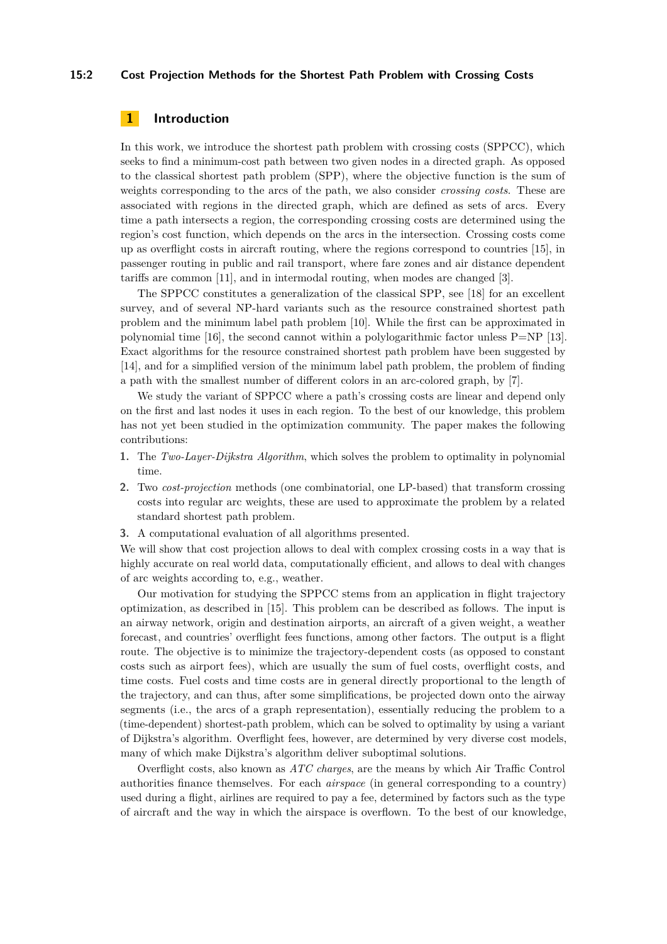### **15:2 Cost Projection Methods for the Shortest Path Problem with Crossing Costs**

# <span id="page-1-0"></span>**1 Introduction**

In this work, we introduce the shortest path problem with crossing costs (SPPCC), which seeks to find a minimum-cost path between two given nodes in a directed graph. As opposed to the classical shortest path problem (SPP), where the objective function is the sum of weights corresponding to the arcs of the path, we also consider *crossing costs*. These are associated with regions in the directed graph, which are defined as sets of arcs. Every time a path intersects a region, the corresponding crossing costs are determined using the region's cost function, which depends on the arcs in the intersection. Crossing costs come up as overflight costs in aircraft routing, where the regions correspond to countries [\[15\]](#page-12-0), in passenger routing in public and rail transport, where fare zones and air distance dependent tariffs are common [\[11\]](#page-12-1), and in intermodal routing, when modes are changed [\[3\]](#page-12-2).

The SPPCC constitutes a generalization of the classical SPP, see [\[18\]](#page-12-3) for an excellent survey, and of several NP-hard variants such as the resource constrained shortest path problem and the minimum label path problem [\[10\]](#page-12-4). While the first can be approximated in polynomial time [\[16\]](#page-12-5), the second cannot within a polylogarithmic factor unless P=NP [\[13\]](#page-12-6). Exact algorithms for the resource constrained shortest path problem have been suggested by [\[14\]](#page-12-7), and for a simplified version of the minimum label path problem, the problem of finding a path with the smallest number of different colors in an arc-colored graph, by [\[7\]](#page-12-8).

We study the variant of SPPCC where a path's crossing costs are linear and depend only on the first and last nodes it uses in each region. To the best of our knowledge, this problem has not yet been studied in the optimization community. The paper makes the following contributions:

- **1.** The *Two-Layer-Dijkstra Algorithm*, which solves the problem to optimality in polynomial time.
- **2.** Two *cost-projection* methods (one combinatorial, one LP-based) that transform crossing costs into regular arc weights, these are used to approximate the problem by a related standard shortest path problem.
- **3.** A computational evaluation of all algorithms presented.

We will show that cost projection allows to deal with complex crossing costs in a way that is highly accurate on real world data, computationally efficient, and allows to deal with changes of arc weights according to, e.g., weather.

Our motivation for studying the SPPCC stems from an application in flight trajectory optimization, as described in [\[15\]](#page-12-0). This problem can be described as follows. The input is an airway network, origin and destination airports, an aircraft of a given weight, a weather forecast, and countries' overflight fees functions, among other factors. The output is a flight route. The objective is to minimize the trajectory-dependent costs (as opposed to constant costs such as airport fees), which are usually the sum of fuel costs, overflight costs, and time costs. Fuel costs and time costs are in general directly proportional to the length of the trajectory, and can thus, after some simplifications, be projected down onto the airway segments (i.e., the arcs of a graph representation), essentially reducing the problem to a (time-dependent) shortest-path problem, which can be solved to optimality by using a variant of Dijkstra's algorithm. Overflight fees, however, are determined by very diverse cost models, many of which make Dijkstra's algorithm deliver suboptimal solutions.

Overflight costs, also known as *ATC charges*, are the means by which Air Traffic Control authorities finance themselves. For each *airspace* (in general corresponding to a country) used during a flight, airlines are required to pay a fee, determined by factors such as the type of aircraft and the way in which the airspace is overflown. To the best of our knowledge,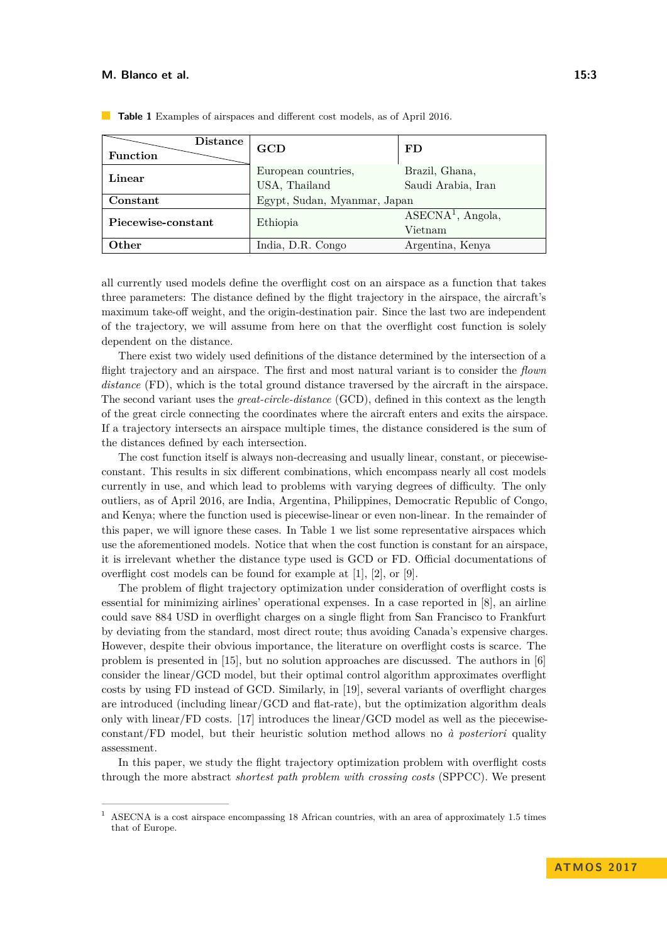| Distance<br><b>Function</b> | GCD                                  | FD                                   |  |  |
|-----------------------------|--------------------------------------|--------------------------------------|--|--|
| Linear                      | European countries,<br>USA, Thailand | Brazil, Ghana,<br>Saudi Arabia, Iran |  |  |
| Constant                    | Egypt, Sudan, Myanmar, Japan         |                                      |  |  |
| Piecewise-constant          | Ethiopia                             | $ASECNA1$ , Angola,<br>Vietnam       |  |  |
| Other                       | India, D.R. Congo                    | Argentina, Kenya                     |  |  |

<span id="page-2-0"></span>**Table 1** Examples of airspaces and different cost models, as of April 2016.

all currently used models define the overflight cost on an airspace as a function that takes three parameters: The distance defined by the flight trajectory in the airspace, the aircraft's maximum take-off weight, and the origin-destination pair. Since the last two are independent of the trajectory, we will assume from here on that the overflight cost function is solely dependent on the distance.

There exist two widely used definitions of the distance determined by the intersection of a flight trajectory and an airspace. The first and most natural variant is to consider the *flown distance* (FD), which is the total ground distance traversed by the aircraft in the airspace. The second variant uses the *great-circle-distance* (GCD), defined in this context as the length of the great circle connecting the coordinates where the aircraft enters and exits the airspace. If a trajectory intersects an airspace multiple times, the distance considered is the sum of the distances defined by each intersection.

The cost function itself is always non-decreasing and usually linear, constant, or piecewiseconstant. This results in six different combinations, which encompass nearly all cost models currently in use, and which lead to problems with varying degrees of difficulty. The only outliers, as of April 2016, are India, Argentina, Philippines, Democratic Republic of Congo, and Kenya; where the function used is piecewise-linear or even non-linear. In the remainder of this paper, we will ignore these cases. In Table [1](#page-2-0) we list some representative airspaces which use the aforementioned models. Notice that when the cost function is constant for an airspace, it is irrelevant whether the distance type used is GCD or FD. Official documentations of overflight cost models can be found for example at [\[1\]](#page-12-9), [\[2\]](#page-12-10), or [\[9\]](#page-12-11).

The problem of flight trajectory optimization under consideration of overflight costs is essential for minimizing airlines' operational expenses. In a case reported in [\[8\]](#page-12-12), an airline could save 884 USD in overflight charges on a single flight from San Francisco to Frankfurt by deviating from the standard, most direct route; thus avoiding Canada's expensive charges. However, despite their obvious importance, the literature on overflight costs is scarce. The problem is presented in [\[15\]](#page-12-0), but no solution approaches are discussed. The authors in [\[6\]](#page-12-13) consider the linear/GCD model, but their optimal control algorithm approximates overflight costs by using FD instead of GCD. Similarly, in [\[19\]](#page-13-1), several variants of overflight charges are introduced (including linear/GCD and flat-rate), but the optimization algorithm deals only with linear/FD costs.  $[17]$  introduces the linear/GCD model as well as the piecewiseconstant/FD model, but their heuristic solution method allows no *à posteriori* quality assessment.

In this paper, we study the flight trajectory optimization problem with overflight costs through the more abstract *shortest path problem with crossing costs* (SPPCC). We present

<sup>1</sup> ASECNA is a cost airspace encompassing 18 African countries, with an area of approximately 1.5 times that of Europe.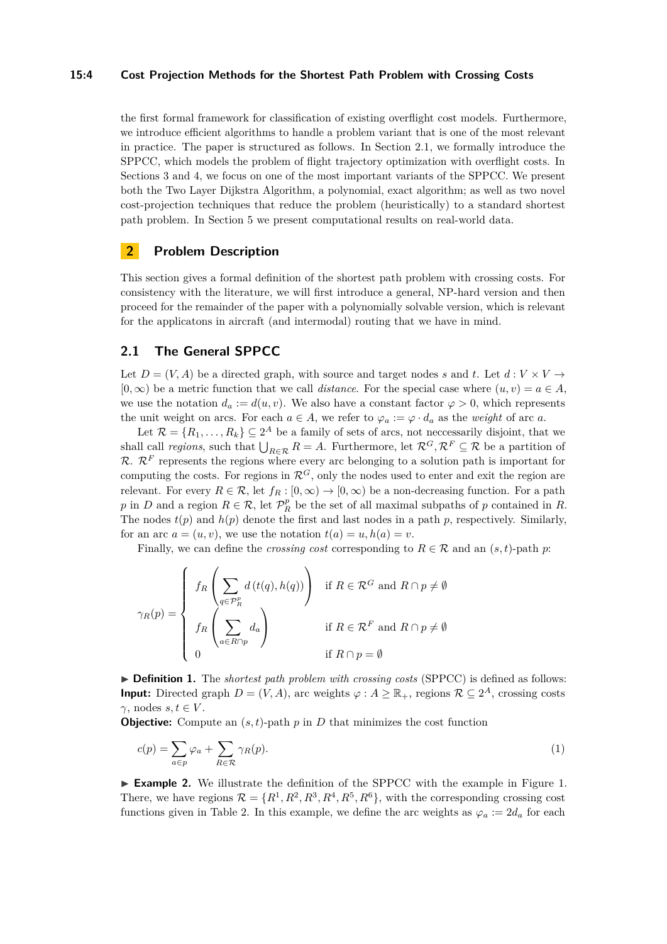### **15:4 Cost Projection Methods for the Shortest Path Problem with Crossing Costs**

the first formal framework for classification of existing overflight cost models. Furthermore, we introduce efficient algorithms to handle a problem variant that is one of the most relevant in practice. The paper is structured as follows. In Section [2.1,](#page-3-0) we formally introduce the SPPCC, which models the problem of flight trajectory optimization with overflight costs. In Sections [3](#page-5-0) and [4,](#page-7-0) we focus on one of the most important variants of the SPPCC. We present both the Two Layer Dijkstra Algorithm, a polynomial, exact algorithm; as well as two novel cost-projection techniques that reduce the problem (heuristically) to a standard shortest path problem. In Section [5](#page-9-0) we present computational results on real-world data.

# **2 Problem Description**

This section gives a formal definition of the shortest path problem with crossing costs. For consistency with the literature, we will first introduce a general, NP-hard version and then proceed for the remainder of the paper with a polynomially solvable version, which is relevant for the applicatons in aircraft (and intermodal) routing that we have in mind.

# <span id="page-3-0"></span>**2.1 The General SPPCC**

Let  $D = (V, A)$  be a directed graph, with source and target nodes *s* and *t*. Let  $d: V \times V \rightarrow$  $[0, \infty)$  be a metric function that we call *distance*. For the special case where  $(u, v) = a \in A$ , we use the notation  $d_a := d(u, v)$ . We also have a constant factor  $\varphi > 0$ , which represents the unit weight on arcs. For each  $a \in A$ , we refer to  $\varphi_a := \varphi \cdot d_a$  as the *weight* of arc *a*.

Let  $\mathcal{R} = \{R_1, \ldots, R_k\} \subseteq 2^A$  be a family of sets of arcs, not neccessarily disjoint, that we shall call *regions*, such that  $\bigcup_{R \in \mathcal{R}} R = A$ . Furthermore, let  $\mathcal{R}^G, \mathcal{R}^F \subseteq \mathcal{R}$  be a partition of  $\mathcal{R}$ .  $\mathcal{R}^F$  represents the regions where every arc belonging to a solution path is important for computing the costs. For regions in  $\mathcal{R}^G$ , only the nodes used to enter and exit the region are relevant. For every  $R \in \mathcal{R}$ , let  $f_R : [0, \infty) \to [0, \infty)$  be a non-decreasing function. For a path *p* in *D* and a region  $R \in \mathcal{R}$ , let  $\mathcal{P}_R^p$  be the set of all maximal subpaths of *p* contained in *R*. The nodes  $t(p)$  and  $h(p)$  denote the first and last nodes in a path  $p$ , respectively. Similarly, for an arc  $a = (u, v)$ , we use the notation  $t(a) = u, h(a) = v$ .

Finally, we can define the *crossing cost* corresponding to  $R \in \mathcal{R}$  and an  $(s, t)$ -path  $p$ :

$$
\gamma_R(p) = \begin{cases} f_R\left(\sum_{q \in \mathcal{P}_R^p} d(t(q), h(q))\right) & \text{if } R \in \mathcal{R}^G \text{ and } R \cap p \neq \emptyset \\ f_R\left(\sum_{a \in R \cap p} d_a\right) & \text{if } R \in \mathcal{R}^F \text{ and } R \cap p \neq \emptyset \\ 0 & \text{if } R \cap p = \emptyset \end{cases}
$$

▶ **Definition 1.** The *shortest path problem with crossing costs* (SPPCC) is defined as follows: **Input:** Directed graph  $D = (V, A)$ , arc weights  $\varphi : A \geq \mathbb{R}_+$ , regions  $\mathcal{R} \subseteq 2^A$ , crossing costs *γ*, nodes *s*, *t* ∈ *V*.

**Objective:** Compute an  $(s, t)$ -path  $p$  in  $D$  that minimizes the cost function

$$
c(p) = \sum_{a \in p} \varphi_a + \sum_{R \in \mathcal{R}} \gamma_R(p). \tag{1}
$$

► **Example 2.** We illustrate the definition of the SPPCC with the example in Figure [1.](#page-4-0) There, we have regions  $\mathcal{R} = \{R^1, R^2, R^3, R^4, R^5, R^6\}$ , with the corresponding crossing cost functions given in Table [2.](#page-4-1) In this example, we define the arc weights as  $\varphi_a := 2d_a$  for each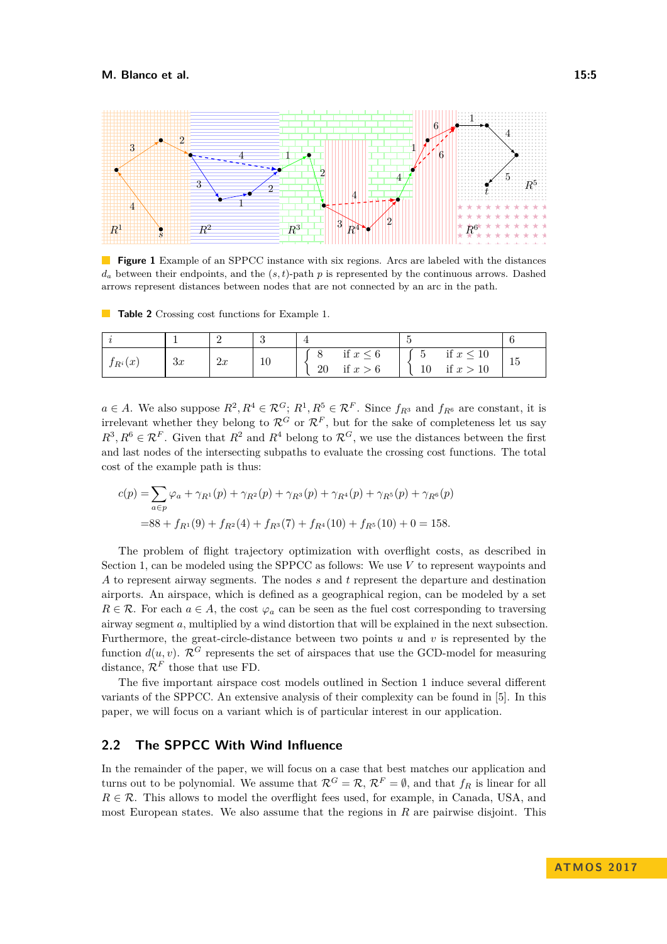<span id="page-4-0"></span>

**Figure 1** Example of an SPPCC instance with six regions. Arcs are labeled with the distances  $d_a$  between their endpoints, and the  $(s, t)$ -path  $p$  is represented by the continuous arrows. Dashed arrows represent distances between nodes that are not connected by an arc in the path.

<span id="page-4-1"></span>**Table 2** Crossing cost functions for Example [1.](#page-4-0)

| $f_{R^i}(x)$ | 3x | 2x | 10 | if $x \leq 6$<br>if $x > 6$<br>20 | if $x \leq 10$<br>$\overline{ }$<br>◡<br>if $x > 10$<br>10 | 15 |
|--------------|----|----|----|-----------------------------------|------------------------------------------------------------|----|

 $a \in A$ . We also suppose  $R^2, R^4 \in \mathcal{R}^G$ ;  $R^1, R^5 \in \mathcal{R}^F$ . Since  $f_{R^3}$  and  $f_{R^6}$  are constant, it is irrelevant whether they belong to  $\mathcal{R}^G$  or  $\mathcal{R}^F$ , but for the sake of completeness let us say  $R^3, R^6 \in \mathcal{R}^F$ . Given that  $R^2$  and  $R^4$  belong to  $\mathcal{R}^G$ , we use the distances between the first and last nodes of the intersecting subpaths to evaluate the crossing cost functions. The total cost of the example path is thus:

$$
c(p) = \sum_{a \in p} \varphi_a + \gamma_{R^1}(p) + \gamma_{R^2}(p) + \gamma_{R^3}(p) + \gamma_{R^4}(p) + \gamma_{R^5}(p) + \gamma_{R^6}(p)
$$
  
= 88 + f<sub>R^1</sub>(9) + f<sub>R^2</sub>(4) + f<sub>R^3</sub>(7) + f<sub>R^4</sub>(10) + f<sub>R^5</sub>(10) + 0 = 158.

The problem of flight trajectory optimization with overflight costs, as described in Section [1,](#page-1-0) can be modeled using the SPPCC as follows: We use *V* to represent waypoints and *A* to represent airway segments. The nodes *s* and *t* represent the departure and destination airports. An airspace, which is defined as a geographical region, can be modeled by a set  $R \in \mathcal{R}$ . For each  $a \in A$ , the cost  $\varphi_a$  can be seen as the fuel cost corresponding to traversing airway segment *a*, multiplied by a wind distortion that will be explained in the next subsection. Furthermore, the great-circle-distance between two points *u* and *v* is represented by the function  $d(u, v)$ .  $\mathcal{R}^G$  represents the set of airspaces that use the GCD-model for measuring distance,  $\mathcal{R}^F$  those that use FD.

The five important airspace cost models outlined in Section [1](#page-1-0) induce several different variants of the SPPCC. An extensive analysis of their complexity can be found in [\[5\]](#page-12-15). In this paper, we will focus on a variant which is of particular interest in our application.

# <span id="page-4-2"></span>**2.2 The SPPCC With Wind Influence**

In the remainder of the paper, we will focus on a case that best matches our application and turns out to be polynomial. We assume that  $\mathcal{R}^G = \mathcal{R}, \mathcal{R}^F = \emptyset$ , and that  $f_R$  is linear for all  $R \in \mathcal{R}$ . This allows to model the overflight fees used, for example, in Canada, USA, and most European states. We also assume that the regions in *R* are pairwise disjoint. This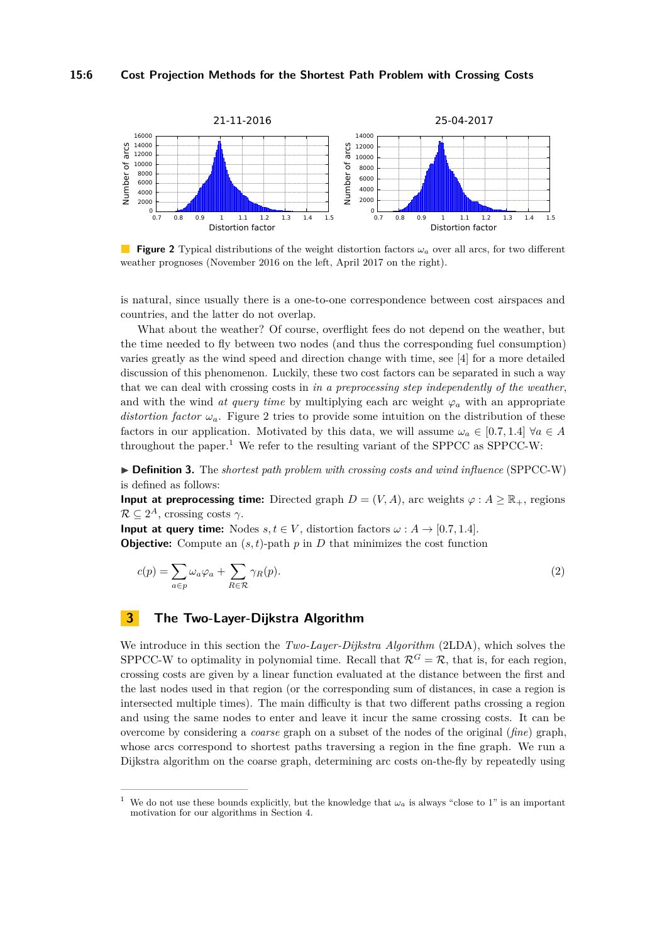#### **15:6 Cost Projection Methods for the Shortest Path Problem with Crossing Costs**

<span id="page-5-1"></span>

**Figure 2** Typical distributions of the weight distortion factors *ω<sup>a</sup>* over all arcs, for two different weather prognoses (November 2016 on the left, April 2017 on the right).

is natural, since usually there is a one-to-one correspondence between cost airspaces and countries, and the latter do not overlap.

What about the weather? Of course, overflight fees do not depend on the weather, but the time needed to fly between two nodes (and thus the corresponding fuel consumption) varies greatly as the wind speed and direction change with time, see [\[4\]](#page-12-16) for a more detailed discussion of this phenomenon. Luckily, these two cost factors can be separated in such a way that we can deal with crossing costs in *in a preprocessing step independently of the weather*, and with the wind *at query time* by multiplying each arc weight  $\varphi_a$  with an appropriate *distortion factor*  $\omega_a$ . Figure [2](#page-5-1) tries to provide some intuition on the distribution of these factors in our application. Motivated by this data, we will assume  $\omega_a \in [0.7, 1.4] \,\forall a \in A$ throughout the paper.<sup>[1](#page-5-2)</sup> We refer to the resulting variant of the SPPCC as SPPCC-W:

<span id="page-5-3"></span>I **Definition 3.** The *shortest path problem with crossing costs and wind influence* (SPPCC-W) is defined as follows:

**Input at preprocessing time:** Directed graph  $D = (V, A)$ , arc weights  $\varphi : A \geq \mathbb{R}_+$ , regions  $\mathcal{R} \subseteq 2^A$ , crossing costs  $\gamma$ .

**Input at query time:** Nodes  $s, t \in V$ , distortion factors  $\omega : A \rightarrow [0.7, 1.4]$ .

**Objective:** Compute an  $(s, t)$ -path  $p$  in  $D$  that minimizes the cost function

$$
c(p) = \sum_{a \in p} \omega_a \varphi_a + \sum_{R \in \mathcal{R}} \gamma_R(p). \tag{2}
$$

# <span id="page-5-0"></span>**3 The Two-Layer-Dijkstra Algorithm**

We introduce in this section the *Two-Layer-Dijkstra Algorithm* (2LDA), which solves the SPPCC-W to optimality in polynomial time. Recall that  $\mathcal{R}^G = \mathcal{R}$ , that is, for each region, crossing costs are given by a linear function evaluated at the distance between the first and the last nodes used in that region (or the corresponding sum of distances, in case a region is intersected multiple times). The main difficulty is that two different paths crossing a region and using the same nodes to enter and leave it incur the same crossing costs. It can be overcome by considering a *coarse* graph on a subset of the nodes of the original (*fine*) graph, whose arcs correspond to shortest paths traversing a region in the fine graph. We run a Dijkstra algorithm on the coarse graph, determining arc costs on-the-fly by repeatedly using

<span id="page-5-2"></span>We do not use these bounds explicitly, but the knowledge that  $\omega_a$  is always "close to 1" is an important motivation for our algorithms in Section [4.](#page-7-0)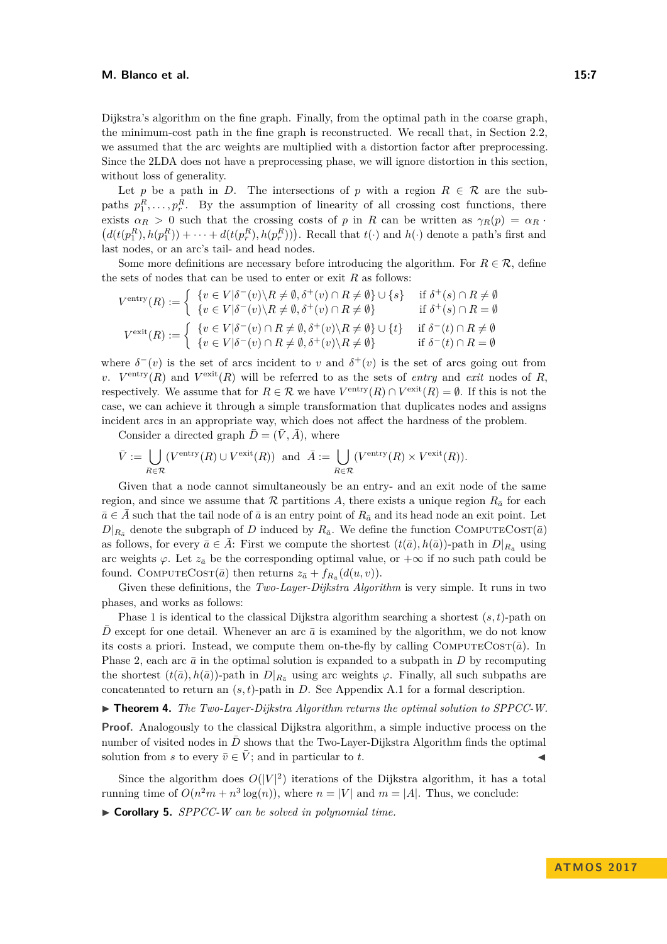Dijkstra's algorithm on the fine graph. Finally, from the optimal path in the coarse graph, the minimum-cost path in the fine graph is reconstructed. We recall that, in Section [2.2,](#page-4-2) we assumed that the arc weights are multiplied with a distortion factor after preprocessing. Since the 2LDA does not have a preprocessing phase, we will ignore distortion in this section, without loss of generality.

Let *p* be a path in *D*. The intersections of *p* with a region  $R \in \mathcal{R}$  are the subpaths  $p_1^R, \ldots, p_r^R$ . By the assumption of linearity of all crossing cost functions, there exists  $\alpha_R > 0$  such that the crossing costs of *p* in *R* can be written as  $\gamma_R(p) = \alpha_R$ .  $(d(t(p_1^R), h(p_1^R)) + \cdots + d(t(p_r^R), h(p_r^R)))$ . Recall that  $t(\cdot)$  and  $h(\cdot)$  denote a path's first and last nodes, or an arc's tail- and head nodes.

Some more definitions are necessary before introducing the algorithm. For  $R \in \mathcal{R}$ , define the sets of nodes that can be used to enter or exit *R* as follows:

$$
V^{\text{entry}}(R) := \begin{cases} \n\{v \in V | \delta^-(v) \backslash R \neq \emptyset, \delta^+(v) \cap R \neq \emptyset\} \cup \{s\} & \text{if } \delta^+(s) \cap R \neq \emptyset \\
\{v \in V | \delta^-(v) \backslash R \neq \emptyset, \delta^+(v) \cap R \neq \emptyset\} & \text{if } \delta^+(s) \cap R = \emptyset\n\end{cases}
$$
\n
$$
V^{\text{exit}}(R) := \begin{cases} \n\{v \in V | \delta^-(v) \cap R \neq \emptyset, \delta^+(v) \backslash R \neq \emptyset\} \cup \{t\} & \text{if } \delta^-(t) \cap R \neq \emptyset \\
\{v \in V | \delta^-(v) \cap R \neq \emptyset, \delta^+(v) \backslash R \neq \emptyset\} & \text{if } \delta^-(t) \cap R = \emptyset\n\end{cases}
$$

where  $\delta^-(v)$  is the set of arcs incident to *v* and  $\delta^+(v)$  is the set of arcs going out from *v*.  $V^{\text{entry}}(R)$  and  $V^{\text{exit}}(R)$  will be referred to as the sets of *entry* and *exit* nodes of *R*, respectively. We assume that for  $R \in \mathcal{R}$  we have  $V^{\text{entry}}(R) \cap V^{\text{exit}}(R) = \emptyset$ . If this is not the case, we can achieve it through a simple transformation that duplicates nodes and assigns incident arcs in an appropriate way, which does not affect the hardness of the problem.

Consider a directed graph  $\overline{D} = (\overline{V}, \overline{A})$ , where

$$
\bar{V} := \bigcup_{R \in \mathcal{R}} (V^{\text{entry}}(R) \cup V^{\text{exit}}(R)) \text{ and } \bar{A} := \bigcup_{R \in \mathcal{R}} (V^{\text{entry}}(R) \times V^{\text{exit}}(R)).
$$

Given that a node cannot simultaneously be an entry- and an exit node of the same region, and since we assume that  $R$  partitions A, there exists a unique region  $R_{\bar{a}}$  for each  $\bar{a} \in \bar{A}$  such that the tail node of  $\bar{a}$  is an entry point of  $R_{\bar{a}}$  and its head node an exit point. Let  $D|_{R_{\bar{a}}}$  denote the subgraph of *D* induced by  $R_{\bar{a}}$ . We define the function COMPUTECOST( $\bar{a}$ ) as follows, for every  $\bar{a} \in \bar{A}$ : First we compute the shortest  $(t(\bar{a}), h(\bar{a}))$ -path in  $D|_{R_{\bar{a}}}$  using arc weights  $\varphi$ . Let  $z_{\bar{a}}$  be the corresponding optimal value, or  $+\infty$  if no such path could be found. COMPUTECOST( $\bar{a}$ ) then returns  $z_{\bar{a}} + f_{R_{\bar{a}}}(d(u, v)).$ 

Given these definitions, the *Two-Layer-Dijkstra Algorithm* is very simple. It runs in two phases, and works as follows:

Phase 1 is identical to the classical Dijkstra algorithm searching a shortest (*s, t*)-path on *D* except for one detail. Whenever an arc  $\bar{a}$  is examined by the algorithm, we do not know its costs a priori. Instead, we compute them on-the-fly by calling  $COMPUTECOST(\bar{a})$ . In Phase 2, each arc  $\bar{a}$  in the optimal solution is expanded to a subpath in *D* by recomputing the shortest  $(t(\bar{a}), h(\bar{a}))$ -path in  $D|_{R_{\bar{a}}}$  using arc weights  $\varphi$ . Finally, all such subpaths are concatenated to return an  $(s, t)$ -path in *D*. See Appendix [A.1](#page-13-2) for a formal description.

 $\blacktriangleright$  **Theorem 4.** *The Two-Layer-Dijkstra Algorithm returns the optimal solution to SPPCC-W.* 

**Proof.** Analogously to the classical Dijkstra algorithm, a simple inductive process on the number of visited nodes in  $\bar{D}$  shows that the Two-Layer-Dijkstra Algorithm finds the optimal solution from *s* to every  $\bar{v} \in \bar{V}$ ; and in particular to *t*.

Since the algorithm does  $O(|V|^2)$  iterations of the Dijkstra algorithm, it has a total running time of  $O(n^2m + n^3 \log(n))$ , where  $n = |V|$  and  $m = |A|$ . Thus, we conclude:

I **Corollary 5.** *SPPCC-W can be solved in polynomial time.*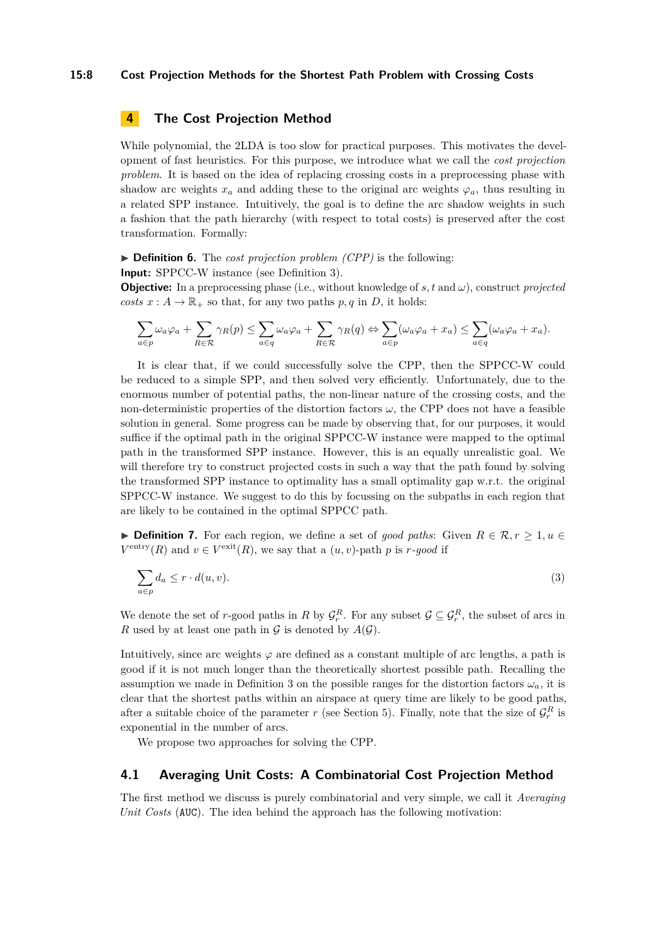### **15:8 Cost Projection Methods for the Shortest Path Problem with Crossing Costs**

# <span id="page-7-0"></span>**4 The Cost Projection Method**

While polynomial, the 2LDA is too slow for practical purposes. This motivates the development of fast heuristics. For this purpose, we introduce what we call the *cost projection problem*. It is based on the idea of replacing crossing costs in a preprocessing phase with shadow arc weights  $x_a$  and adding these to the original arc weights  $\varphi_a$ , thus resulting in a related SPP instance. Intuitively, the goal is to define the arc shadow weights in such a fashion that the path hierarchy (with respect to total costs) is preserved after the cost transformation. Formally:

▶ **Definition 6.** The *cost projection problem (CPP)* is the following:

**Input:** SPPCC-W instance (see Definition [3\)](#page-5-3).

**Objective:** In a preprocessing phase (i.e., without knowledge of *s, t* and *ω*), construct *projected costs*  $x : A \to \mathbb{R}_+$  so that, for any two paths  $p, q$  in *D*, it holds:

$$
\sum_{a\in p}\omega_a\varphi_a+\sum_{R\in\mathcal{R}}\gamma_R(p)\leq \sum_{a\in q}\omega_a\varphi_a+\sum_{R\in\mathcal{R}}\gamma_R(q)\Leftrightarrow \sum_{a\in p}(\omega_a\varphi_a+x_a)\leq \sum_{a\in q}(\omega_a\varphi_a+x_a).
$$

It is clear that, if we could successfully solve the CPP, then the SPPCC-W could be reduced to a simple SPP, and then solved very efficiently. Unfortunately, due to the enormous number of potential paths, the non-linear nature of the crossing costs, and the non-deterministic properties of the distortion factors  $\omega$ , the CPP does not have a feasible solution in general. Some progress can be made by observing that, for our purposes, it would suffice if the optimal path in the original SPPCC-W instance were mapped to the optimal path in the transformed SPP instance. However, this is an equally unrealistic goal. We will therefore try to construct projected costs in such a way that the path found by solving the transformed SPP instance to optimality has a small optimality gap w.r.t. the original SPPCC-W instance. We suggest to do this by focussing on the subpaths in each region that are likely to be contained in the optimal SPPCC path.

▶ **Definition 7.** For each region, we define a set of *good paths*: Given  $R \in \mathcal{R}, r \geq 1, u \in \mathcal{R}$  $V^{\text{entry}}(R)$  and  $v \in V^{\text{exit}}(R)$ , we say that a  $(u, v)$ -path *p* is *r*-good if

<span id="page-7-1"></span>
$$
\sum_{a \in p} d_a \le r \cdot d(u, v). \tag{3}
$$

We denote the set of *r*-good paths in *R* by  $\mathcal{G}_r^R$ . For any subset  $\mathcal{G} \subseteq \mathcal{G}_r^R$ , the subset of arcs in *R* used by at least one path in  $G$  is denoted by  $A(G)$ .

Intuitively, since arc weights  $\varphi$  are defined as a constant multiple of arc lengths, a path is good if it is not much longer than the theoretically shortest possible path. Recalling the assumption we made in Definition [3](#page-5-3) on the possible ranges for the distortion factors  $\omega_a$ , it is clear that the shortest paths within an airspace at query time are likely to be good paths, after a suitable choice of the parameter *r* (see Section [5\)](#page-9-0). Finally, note that the size of  $\mathcal{G}_r^R$  is exponential in the number of arcs.

We propose two approaches for solving the CPP.

### **4.1 Averaging Unit Costs: A Combinatorial Cost Projection Method**

The first method we discuss is purely combinatorial and very simple, we call it *Averaging Unit Costs* (AUC). The idea behind the approach has the following motivation: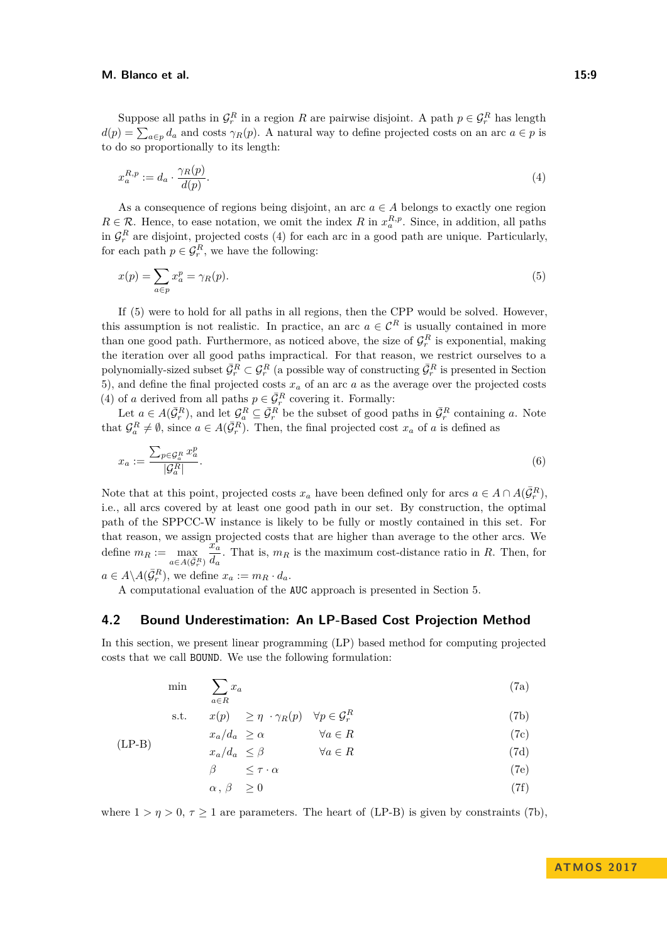Suppose all paths in  $\mathcal{G}_r^R$  in a region *R* are pairwise disjoint. A path  $p \in \mathcal{G}_r^R$  has length  $d(p) = \sum_{a \in p} d_a$  and costs  $\gamma_R(p)$ . A natural way to define projected costs on an arc  $a \in p$  is to do so proportionally to its length:

<span id="page-8-0"></span>
$$
x_a^{R,p} := d_a \cdot \frac{\gamma_R(p)}{d(p)}.\tag{4}
$$

As a consequence of regions being disjoint, an arc  $a \in A$  belongs to exactly one region  $R \in \mathcal{R}$ . Hence, to ease notation, we omit the index *R* in  $x_a^{R,p}$ . Since, in addition, all paths in  $\mathcal{G}_r^R$  are disjoint, projected costs [\(4\)](#page-8-0) for each arc in a good path are unique. Particularly, for each path  $p \in \mathcal{G}_r^R$ , we have the following:

<span id="page-8-1"></span>
$$
x(p) = \sum_{a \in p} x_a^p = \gamma_R(p). \tag{5}
$$

If [\(5\)](#page-8-1) were to hold for all paths in all regions, then the CPP would be solved. However, this assumption is not realistic. In practice, an arc  $a \in \mathcal{C}^R$  is usually contained in more than one good path. Furthermore, as noticed above, the size of  $\mathcal{G}_r^R$  is exponential, making the iteration over all good paths impractical. For that reason, we restrict ourselves to a polynomially-sized subset  $\bar{G}_r^R \subset \mathcal{G}_r^R$  (a possible way of constructing  $\bar{G}_r^R$  is presented in Section [5\)](#page-9-0), and define the final projected costs *x<sup>a</sup>* of an arc *a* as the average over the projected costs [\(4\)](#page-8-0) of *a* derived from all paths  $p \in \overline{\mathcal{G}}_r^R$  covering it. Formally:

Let  $a \in A(\bar{G}_r^R)$ , and let  $\mathcal{G}_a^R \subseteq \bar{\mathcal{G}}_r^R$  be the subset of good paths in  $\bar{\mathcal{G}}_r^R$  containing *a*. Note that  $\mathcal{G}_a^R \neq \emptyset$ , since  $a \in A(\bar{\mathcal{G}}_r^R)$ . Then, the final projected cost  $x_a$  of *a* is defined as

$$
x_a := \frac{\sum_{p \in \mathcal{G}_a^R} x_a^p}{|\mathcal{G}_a^R|}.\tag{6}
$$

Note that at this point, projected costs  $x_a$  have been defined only for arcs  $a \in A \cap A(\bar{G}_r^R)$ , i.e., all arcs covered by at least one good path in our set. By construction, the optimal path of the SPPCC-W instance is likely to be fully or mostly contained in this set. For that reason, we assign projected costs that are higher than average to the other arcs. We define  $m_R := \max_{a \in A(\bar{\mathcal{G}}_r^R)}$  $\tilde{x}_a^{\mathbf{r}}$  $\frac{d}{da}$ . That is,  $m_R$  is the maximum cost-distance ratio in *R*. Then, for  $a \in A \backslash A(\bar{\mathcal{G}}_r^R)$ , we define  $x_a := m_R \cdot d_a$ .

A computational evaluation of the AUC approach is presented in Section [5.](#page-9-0)

### <span id="page-8-7"></span>**4.2 Bound Underestimation: An LP-Based Cost Projection Method**

In this section, we present linear programming (LP) based method for computing projected costs that we call BOUND. We use the following formulation:

$$
\min \sum_{a \in R} x_a \tag{7a}
$$

s.t. 
$$
x(p) \geq \eta \cdot \gamma_R(p) \quad \forall p \in \mathcal{G}_r^R
$$
 (7b)

<span id="page-8-2"></span>
$$
x_a/d_a \ge \alpha \qquad \qquad \forall a \in R \tag{7c}
$$

$$
x_a/d_a \le \beta \qquad \qquad \forall a \in R \tag{7d}
$$

<span id="page-8-6"></span><span id="page-8-5"></span><span id="page-8-4"></span><span id="page-8-3"></span>
$$
\beta \qquad \leq \tau \cdot \alpha \tag{7e}
$$

$$
\alpha, \beta \ge 0 \tag{7f}
$$

where  $1 > \eta > 0$ ,  $\tau \ge 1$  are parameters. The heart of [\(LP-B\)](#page-8-2) is given by constraints [\(7b\)](#page-8-3),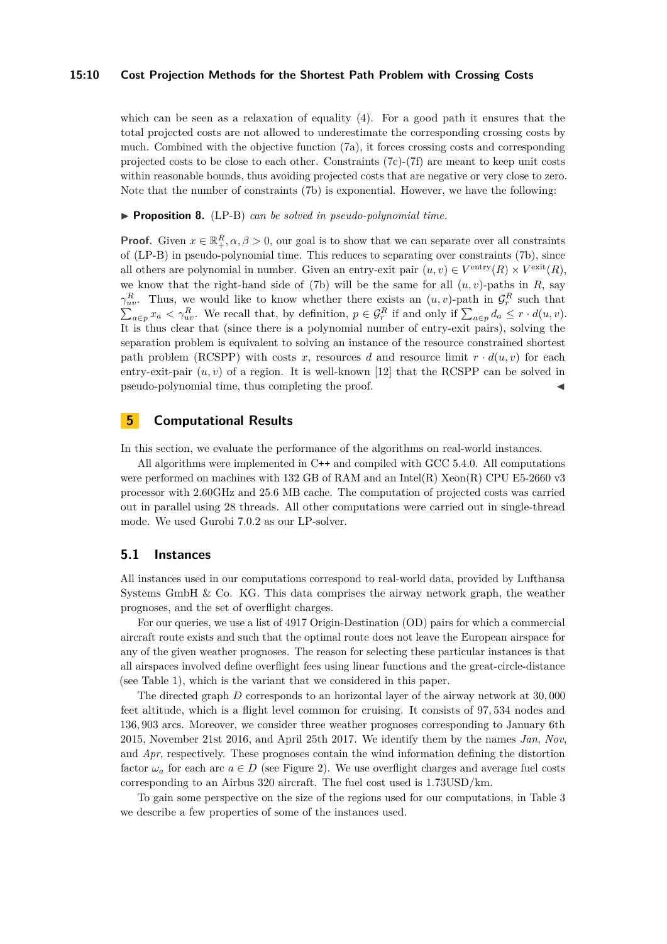### **15:10 Cost Projection Methods for the Shortest Path Problem with Crossing Costs**

which can be seen as a relaxation of equality  $(4)$ . For a good path it ensures that the total projected costs are not allowed to underestimate the corresponding crossing costs by much. Combined with the objective function [\(7a\)](#page-8-4), it forces crossing costs and corresponding projected costs to be close to each other. Constraints [\(7c\)](#page-8-5)-[\(7f\)](#page-8-6) are meant to keep unit costs within reasonable bounds, thus avoiding projected costs that are negative or very close to zero. Note that the number of constraints [\(7b\)](#page-8-3) is exponential. However, we have the following:

▶ **Proposition 8.** [\(LP-B\)](#page-8-2) *can be solved in pseudo-polynomial time.* 

**Proof.** Given  $x \in \mathbb{R}^R_+$ ,  $\alpha, \beta > 0$ , our goal is to show that we can separate over all constraints of [\(LP-B\)](#page-8-2) in pseudo-polynomial time. This reduces to separating over constraints [\(7b\)](#page-8-3), since all others are polynomial in number. Given an entry-exit pair  $(u, v) \in V^{\text{entry}}(R) \times V^{\text{exit}}(R)$ , we know that the right-hand side of [\(7b\)](#page-8-3) will be the same for all  $(u, v)$ -paths in *R*, say *γ*<sup>*R*</sup><sub>*uv*</sub>. Thus, we would like to know whether there exists an  $(u, v)$ -path in  $\mathcal{G}_r^R$  such that  $\sum_{a \in p} x_a < \gamma_{uv}^R$ . We recall that, by definition,  $p \in \mathcal{G}_r^R$  if and only if  $\sum_{a \in p} d_a \leq r \cdot d(u, v)$ . It is thus clear that (since there is a polynomial number of entry-exit pairs), solving the separation problem is equivalent to solving an instance of the resource constrained shortest path problem (RCSPP) with costs x, resources d and resource limit  $r \cdot d(u, v)$  for each entry-exit-pair  $(u, v)$  of a region. It is well-known [\[12\]](#page-12-17) that the RCSPP can be solved in pseudo-polynomial time, thus completing the proof.

# <span id="page-9-0"></span>**5 Computational Results**

In this section, we evaluate the performance of the algorithms on real-world instances.

All algorithms were implemented in C++ and compiled with GCC 5.4.0. All computations were performed on machines with 132 GB of RAM and an Intel(R) Xeon(R) CPU E5-2660 v3 processor with 2.60GHz and 25.6 MB cache. The computation of projected costs was carried out in parallel using 28 threads. All other computations were carried out in single-thread mode. We used Gurobi 7.0.2 as our LP-solver.

### **5.1 Instances**

All instances used in our computations correspond to real-world data, provided by Lufthansa Systems GmbH  $\&$  Co. KG. This data comprises the airway network graph, the weather prognoses, and the set of overflight charges.

For our queries, we use a list of 4917 Origin-Destination (OD) pairs for which a commercial aircraft route exists and such that the optimal route does not leave the European airspace for any of the given weather prognoses. The reason for selecting these particular instances is that all airspaces involved define overflight fees using linear functions and the great-circle-distance (see Table [1\)](#page-2-0), which is the variant that we considered in this paper.

The directed graph *D* corresponds to an horizontal layer of the airway network at 30*,* 000 feet altitude, which is a flight level common for cruising. It consists of 97*,* 534 nodes and 136*,* 903 arcs. Moreover, we consider three weather prognoses corresponding to January 6th 2015, November 21st 2016, and April 25th 2017. We identify them by the names *Jan*, *Nov*, and *Apr*, respectively. These prognoses contain the wind information defining the distortion factor  $\omega_a$  for each arc  $a \in D$  (see Figure [2\)](#page-5-1). We use overflight charges and average fuel costs corresponding to an Airbus 320 aircraft. The fuel cost used is 1*.*73USD/km.

To gain some perspective on the size of the regions used for our computations, in Table [3](#page-10-0) we describe a few properties of some of the instances used.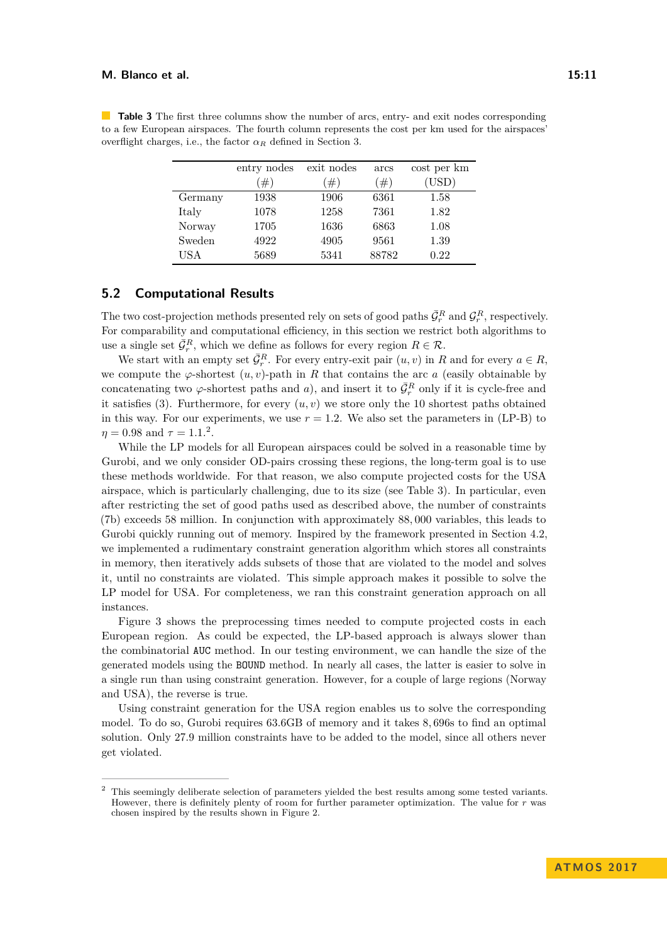|         | entry nodes | exit nodes | arcs   | cost per km |
|---------|-------------|------------|--------|-------------|
|         | #           | #)         | $(\#)$ | (USD)       |
| Germany | 1938        | 1906       | 6361   | 1.58        |
| Italy   | 1078        | 1258       | 7361   | 1.82        |
| Norway  | 1705        | 1636       | 6863   | 1.08        |
| Sweden  | 4922        | 4905       | 9561   | 1.39        |
| USA     | 5689        | 5341       | 88782  | 0.22        |

<span id="page-10-0"></span>**Table 3** The first three columns show the number of arcs, entry- and exit nodes corresponding to a few European airspaces. The fourth column represents the cost per km used for the airspaces' overflight charges, i.e., the factor  $\alpha_R$  defined in Section [3.](#page-5-0)

# **5.2 Computational Results**

The two cost-projection methods presented rely on sets of good paths  $\bar{\mathcal{G}}_r^R$  and  $\mathcal{G}_r^R$ , respectively. For comparability and computational efficiency, in this section we restrict both algorithms to use a single set  $\bar{\mathcal{G}}_r^R$ , which we define as follows for every region  $R \in \mathcal{R}$ .

We start with an empty set  $\bar{\mathcal{G}}_r^R$ . For every entry-exit pair  $(u, v)$  in *R* and for every  $a \in R$ , we compute the  $\varphi$ -shortest  $(u, v)$ -path in *R* that contains the arc *a* (easily obtainable by concatenating two  $\varphi$ -shortest paths and *a*), and insert it to  $\bar{\mathcal{G}}_r^R$  only if it is cycle-free and it satisfies [\(3\)](#page-7-1). Furthermore, for every  $(u, v)$  we store only the 10 shortest paths obtained in this way. For our experiments, we use  $r = 1.2$ . We also set the parameters in  $(LP-B)$  to  $\eta = 0.98$  and  $\tau = 1.1.^2$  $\tau = 1.1.^2$ .

While the LP models for all European airspaces could be solved in a reasonable time by Gurobi, and we only consider OD-pairs crossing these regions, the long-term goal is to use these methods worldwide. For that reason, we also compute projected costs for the USA airspace, which is particularly challenging, due to its size (see Table [3\)](#page-10-0). In particular, even after restricting the set of good paths used as described above, the number of constraints [\(7b\)](#page-8-3) exceeds 58 million. In conjunction with approximately 88*,* 000 variables, this leads to Gurobi quickly running out of memory. Inspired by the framework presented in Section [4.2,](#page-8-7) we implemented a rudimentary constraint generation algorithm which stores all constraints in memory, then iteratively adds subsets of those that are violated to the model and solves it, until no constraints are violated. This simple approach makes it possible to solve the LP model for USA. For completeness, we ran this constraint generation approach on all instances.

Figure [3](#page-11-0) shows the preprocessing times needed to compute projected costs in each European region. As could be expected, the LP-based approach is always slower than the combinatorial AUC method. In our testing environment, we can handle the size of the generated models using the BOUND method. In nearly all cases, the latter is easier to solve in a single run than using constraint generation. However, for a couple of large regions (Norway and USA), the reverse is true.

Using constraint generation for the USA region enables us to solve the corresponding model. To do so, Gurobi requires 63*.*6GB of memory and it takes 8*,* 696s to find an optimal solution. Only 27*.*9 million constraints have to be added to the model, since all others never get violated.

<span id="page-10-1"></span><sup>2</sup> This seemingly deliberate selection of parameters yielded the best results among some tested variants. However, there is definitely plenty of room for further parameter optimization. The value for *r* was chosen inspired by the results shown in Figure [2.](#page-5-1)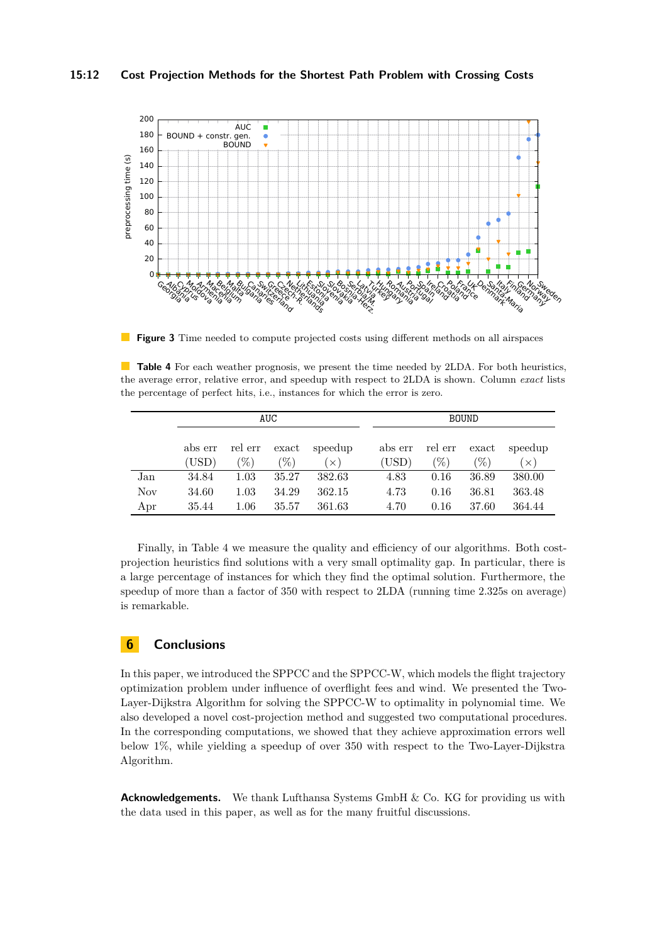<span id="page-11-0"></span>

**Figure 3** Time needed to compute projected costs using different methods on all airspaces

<span id="page-11-1"></span>**Table 4** For each weather prognosis, we present the time needed by 2LDA. For both heuristics, the average error, relative error, and speedup with respect to 2LDA is shown. Column *exact* lists the percentage of perfect hits, i.e., instances for which the error is zero.

|            | AUC              |                   |                                       |                     |                  |                 | <b>BOUND</b>                                       |                       |
|------------|------------------|-------------------|---------------------------------------|---------------------|------------------|-----------------|----------------------------------------------------|-----------------------|
|            | abs err<br>(USD) | rel err<br>$(\%)$ | $\boldsymbol{\mathrm{exact}}$<br>$\%$ | speedup<br>$\times$ | abs err<br>(USD) | rel err<br>$\%$ | $\boldsymbol{\mathrm{exact}}$<br>$\mathcal{C}_{0}$ | speedup<br>$(\times)$ |
| Jan        | 34.84            | 1.03              | 35.27                                 | 382.63              | 4.83             | 0.16            | 36.89                                              | 380.00                |
| <b>Nov</b> | 34.60            | 1.03              | 34.29                                 | 362.15              | 4.73             | 0.16            | 36.81                                              | 363.48                |
| Apr        | 35.44            | $1.06\,$          | 35.57                                 | 361.63              | 4.70             | 0.16            | 37.60                                              | 364.44                |

Finally, in Table [4](#page-11-1) we measure the quality and efficiency of our algorithms. Both costprojection heuristics find solutions with a very small optimality gap. In particular, there is a large percentage of instances for which they find the optimal solution. Furthermore, the speedup of more than a factor of 350 with respect to 2LDA (running time 2.325s on average) is remarkable.

# **6 Conclusions**

In this paper, we introduced the SPPCC and the SPPCC-W, which models the flight trajectory optimization problem under influence of overflight fees and wind. We presented the Two-Layer-Dijkstra Algorithm for solving the SPPCC-W to optimality in polynomial time. We also developed a novel cost-projection method and suggested two computational procedures. In the corresponding computations, we showed that they achieve approximation errors well below 1%, while yielding a speedup of over 350 with respect to the Two-Layer-Dijkstra Algorithm.

**Acknowledgements.** We thank Lufthansa Systems GmbH & Co. KG for providing us with the data used in this paper, as well as for the many fruitful discussions.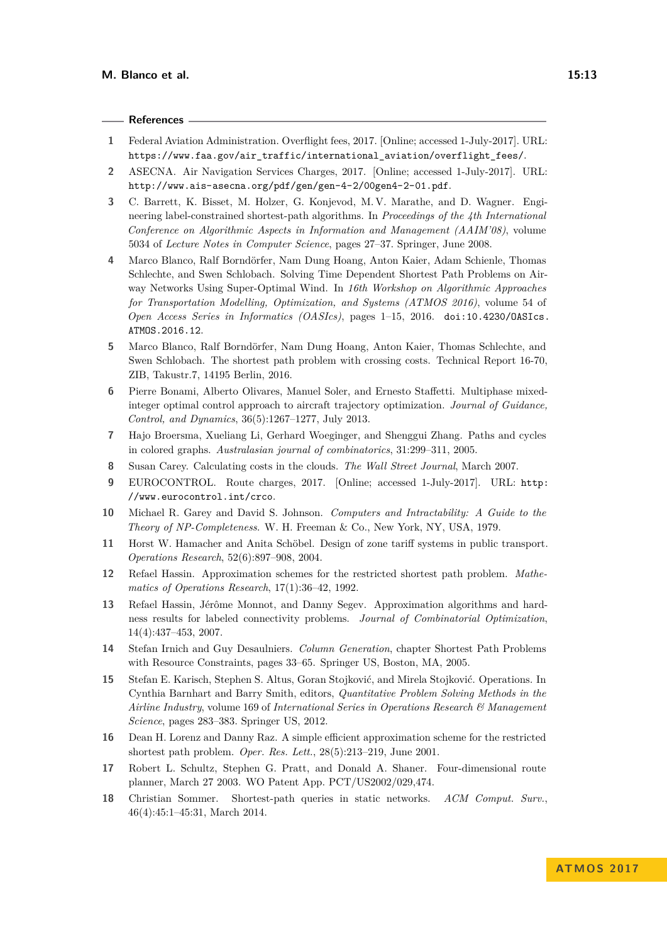### **References**

- <span id="page-12-9"></span>**1** Federal Aviation Administration. Overflight fees, 2017. [Online; accessed 1-July-2017]. URL: [https://www.faa.gov/air\\_traffic/international\\_aviation/overflight\\_fees/](https://www.faa.gov/air_traffic/international_aviation/overflight_fees/).
- <span id="page-12-10"></span>**2** ASECNA. Air Navigation Services Charges, 2017. [Online; accessed 1-July-2017]. URL: <http://www.ais-asecna.org/pdf/gen/gen-4-2/00gen4-2-01.pdf>.
- <span id="page-12-2"></span>**3** C. Barrett, K. Bisset, M. Holzer, G. Konjevod, M. V. Marathe, and D. Wagner. Engineering label-constrained shortest-path algorithms. In *Proceedings of the 4th International Conference on Algorithmic Aspects in Information and Management (AAIM'08)*, volume 5034 of *Lecture Notes in Computer Science*, pages 27–37. Springer, June 2008.
- <span id="page-12-16"></span>**4** Marco Blanco, Ralf Borndörfer, Nam Dung Hoang, Anton Kaier, Adam Schienle, Thomas Schlechte, and Swen Schlobach. Solving Time Dependent Shortest Path Problems on Airway Networks Using Super-Optimal Wind. In *16th Workshop on Algorithmic Approaches for Transportation Modelling, Optimization, and Systems (ATMOS 2016)*, volume 54 of *Open Access Series in Informatics (OASIcs)*, pages 1–15, 2016. [doi:10.4230/OASIcs.](http://dx.doi.org/10.4230/OASIcs.ATMOS.2016.12) [ATMOS.2016.12](http://dx.doi.org/10.4230/OASIcs.ATMOS.2016.12).
- <span id="page-12-15"></span>**5** Marco Blanco, Ralf Borndörfer, Nam Dung Hoang, Anton Kaier, Thomas Schlechte, and Swen Schlobach. The shortest path problem with crossing costs. Technical Report 16-70, ZIB, Takustr.7, 14195 Berlin, 2016.
- <span id="page-12-13"></span>**6** Pierre Bonami, Alberto Olivares, Manuel Soler, and Ernesto Staffetti. Multiphase mixedinteger optimal control approach to aircraft trajectory optimization. *Journal of Guidance, Control, and Dynamics*, 36(5):1267–1277, July 2013.
- <span id="page-12-8"></span>**7** Hajo Broersma, Xueliang Li, Gerhard Woeginger, and Shenggui Zhang. Paths and cycles in colored graphs. *Australasian journal of combinatorics*, 31:299–311, 2005.
- <span id="page-12-12"></span>**8** Susan Carey. Calculating costs in the clouds. *The Wall Street Journal*, March 2007.
- <span id="page-12-11"></span>**9** EUROCONTROL. Route charges, 2017. [Online; accessed 1-July-2017]. URL: [http:](http://www.eurocontrol.int/crco) [//www.eurocontrol.int/crco](http://www.eurocontrol.int/crco).
- <span id="page-12-4"></span>**10** Michael R. Garey and David S. Johnson. *Computers and Intractability: A Guide to the Theory of NP-Completeness*. W. H. Freeman & Co., New York, NY, USA, 1979.
- <span id="page-12-1"></span>**11** Horst W. Hamacher and Anita Schöbel. Design of zone tariff systems in public transport. *Operations Research*, 52(6):897–908, 2004.
- <span id="page-12-17"></span>**12** Refael Hassin. Approximation schemes for the restricted shortest path problem. *Mathematics of Operations Research*, 17(1):36–42, 1992.
- <span id="page-12-6"></span>**13** Refael Hassin, Jérôme Monnot, and Danny Segev. Approximation algorithms and hardness results for labeled connectivity problems. *Journal of Combinatorial Optimization*, 14(4):437–453, 2007.
- <span id="page-12-7"></span>**14** Stefan Irnich and Guy Desaulniers. *Column Generation*, chapter Shortest Path Problems with Resource Constraints, pages 33–65. Springer US, Boston, MA, 2005.
- <span id="page-12-0"></span>**15** Stefan E. Karisch, Stephen S. Altus, Goran Stojković, and Mirela Stojković. Operations. In Cynthia Barnhart and Barry Smith, editors, *Quantitative Problem Solving Methods in the Airline Industry*, volume 169 of *International Series in Operations Research & Management Science*, pages 283–383. Springer US, 2012.
- <span id="page-12-5"></span>**16** Dean H. Lorenz and Danny Raz. A simple efficient approximation scheme for the restricted shortest path problem. *Oper. Res. Lett.*, 28(5):213–219, June 2001.
- <span id="page-12-14"></span>**17** Robert L. Schultz, Stephen G. Pratt, and Donald A. Shaner. Four-dimensional route planner, March 27 2003. WO Patent App. PCT/US2002/029,474.
- <span id="page-12-3"></span>**18** Christian Sommer. Shortest-path queries in static networks. *ACM Comput. Surv.*, 46(4):45:1–45:31, March 2014.